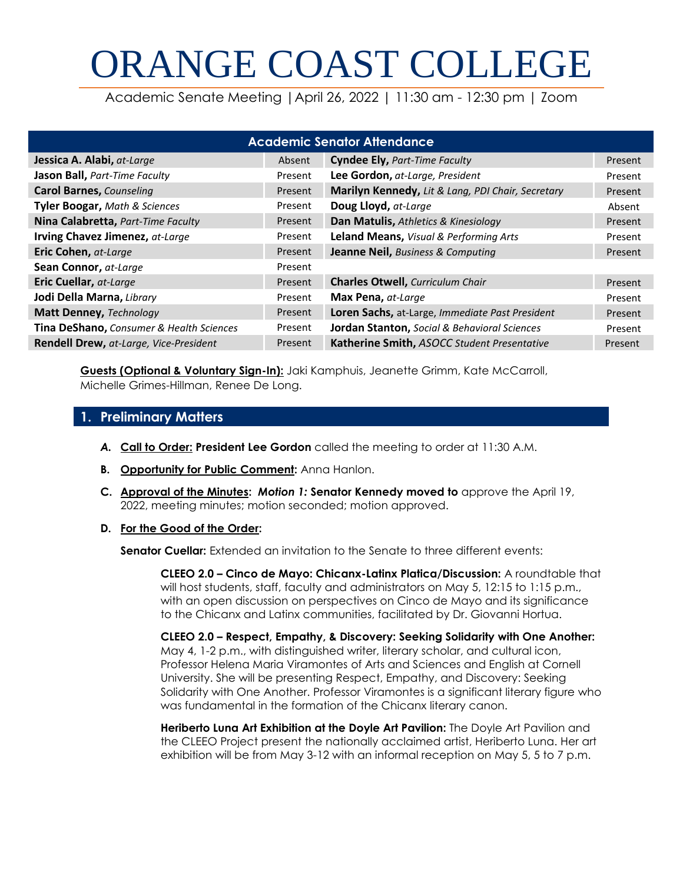# ORANGE COAST COLLEGE

Academic Senate Meeting |April 26, 2022 | 11:30 am - 12:30 pm | Zoom

| <b>Academic Senator Attendance</b>            |         |                                                   |         |  |  |
|-----------------------------------------------|---------|---------------------------------------------------|---------|--|--|
| Jessica A. Alabi, at-Large                    | Absent  | <b>Cyndee Ely, Part-Time Faculty</b>              | Present |  |  |
| Jason Ball, Part-Time Faculty                 | Present | Lee Gordon, at-Large, President                   | Present |  |  |
| <b>Carol Barnes, Counseling</b>               | Present | Marilyn Kennedy, Lit & Lang, PDI Chair, Secretary | Present |  |  |
| <b>Tyler Boogar, Math &amp; Sciences</b>      | Present | Doug Lloyd, at-Large                              | Absent  |  |  |
| Nina Calabretta, Part-Time Faculty            | Present | Dan Matulis, Athletics & Kinesiology              | Present |  |  |
| Irving Chavez Jimenez, at-Large               | Present | <b>Leland Means, Visual &amp; Performing Arts</b> | Present |  |  |
| Eric Cohen, at-Large                          | Present | Jeanne Neil, Business & Computing                 | Present |  |  |
| Sean Connor, at-Large                         | Present |                                                   |         |  |  |
| Eric Cuellar, at-Large                        | Present | <b>Charles Otwell, Curriculum Chair</b>           | Present |  |  |
| Jodi Della Marna, Library                     | Present | Max Pena, at-Large                                | Present |  |  |
| Matt Denney, Technology                       | Present | Loren Sachs, at-Large, Immediate Past President   | Present |  |  |
| Tina DeShano, Consumer & Health Sciences      | Present | Jordan Stanton, Social & Behavioral Sciences      | Present |  |  |
| <b>Rendell Drew, at-Large, Vice-President</b> | Present | Katherine Smith, ASOCC Student Presentative       | Present |  |  |

**Guests (Optional & Voluntary Sign-In):** Jaki Kamphuis, Jeanette Grimm, Kate McCarroll, Michelle Grimes-Hillman, Renee De Long.

# **1. Preliminary Matters**

- *A.* **Call to Order: President Lee Gordon** called the meeting to order at 11:30 A.M.
- **B. Opportunity for Public Comment:** Anna Hanlon.
- **C. Approval of the Minutes:** *Motion 1:* **Senator Kennedy moved to** approve the April 19, 2022, meeting minutes; motion seconded; motion approved.

#### **D. For the Good of the Order:**

**Senator Cuellar:** Extended an invitation to the Senate to three different events:

**CLEEO 2.0 – Cinco de Mayo: Chicanx-Latinx Platica/Discussion:** A roundtable that will host students, staff, faculty and administrators on May 5, 12:15 to 1:15 p.m., with an open discussion on perspectives on Cinco de Mayo and its significance to the Chicanx and Latinx communities, facilitated by Dr. Giovanni Hortua.

**CLEEO 2.0 – Respect, Empathy, & Discovery: Seeking Solidarity with One Another:**  May 4, 1-2 p.m., with distinguished writer, literary scholar, and cultural icon, Professor Helena Maria Viramontes of Arts and Sciences and English at Cornell University. She will be presenting Respect, Empathy, and Discovery: Seeking Solidarity with One Another. Professor Viramontes is a significant literary figure who was fundamental in the formation of the Chicanx literary canon.

**Heriberto Luna Art Exhibition at the Doyle Art Pavilion:** The Doyle Art Pavilion and the CLEEO Project present the nationally acclaimed artist, Heriberto Luna. Her art exhibition will be from May 3-12 with an informal reception on May 5, 5 to 7 p.m.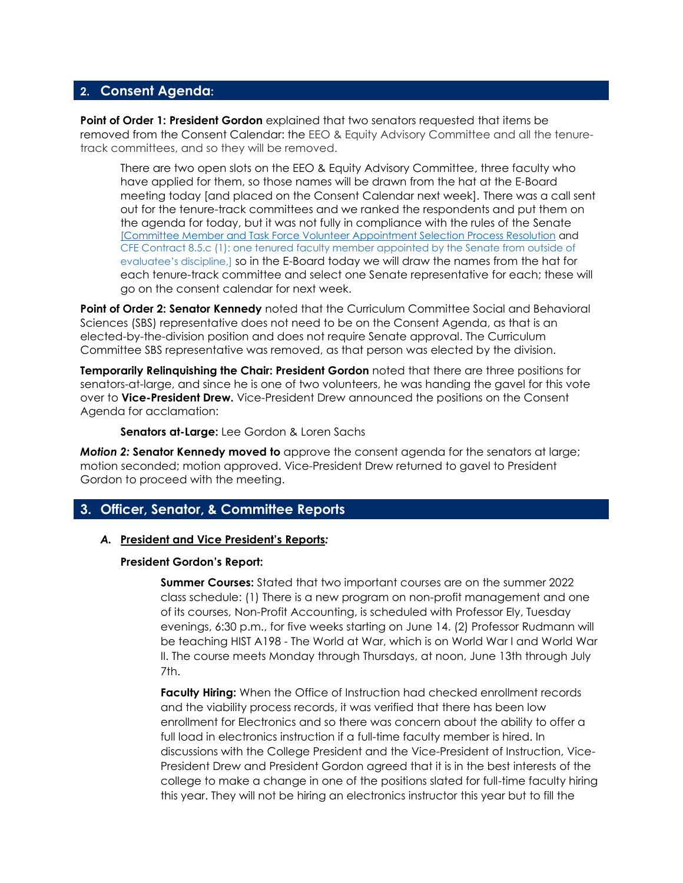### **2. Consent Agenda:**

**Point of Order 1: President Gordon** explained that two senators requested that items be removed from the Consent Calendar: the EEO & Equity Advisory Committee and all the tenuretrack committees, and so they will be removed.

There are two open slots on the EEO & Equity Advisory Committee, three faculty who have applied for them, so those names will be drawn from the hat at the E-Board meeting today [and placed on the Consent Calendar next week]. There was a call sent out for the tenure-track committees and we ranked the respondents and put them on the agenda for today, but it was not fully in compliance with the rules of the Senate [\[Committee Member and Task Force Volunteer Appointment Selection Process Resolution](http://www.orangecoastcollege.edu/about_occ/AcademicSenate/Agendas%20and%20Minutes/Committee%20or%20Task%20Force%20Selection%20Resolution%20Final%20Approved%20Resolution%20from%20February%2013%202018.pdf) and [CFE Contract 8.5.c \(1\): one tenured faculty member appointed by the Senate from outside of](http://www.orangecoastcollege.edu/about_occ/AcademicSenate/Agendas%20and%20Minutes/Committee%20or%20Task%20Force%20Selection%20Resolution%20Final%20Approved%20Resolution%20from%20February%2013%202018.pdf)  [evaluatee's discipline,\]](http://www.orangecoastcollege.edu/about_occ/AcademicSenate/Agendas%20and%20Minutes/Committee%20or%20Task%20Force%20Selection%20Resolution%20Final%20Approved%20Resolution%20from%20February%2013%202018.pdf) so in the E-Board today we will draw the names from the hat for each tenure-track committee and select one Senate representative for each; these will go on the consent calendar for next week.

**Point of Order 2: Senator Kennedy** noted that the Curriculum Committee Social and Behavioral Sciences (SBS) representative does not need to be on the Consent Agenda, as that is an elected-by-the-division position and does not require Senate approval. The Curriculum Committee SBS representative was removed, as that person was elected by the division.

**Temporarily Relinquishing the Chair: President Gordon** noted that there are three positions for senators-at-large, and since he is one of two volunteers, he was handing the gavel for this vote over to **Vice-President Drew.** Vice-President Drew announced the positions on the Consent Agenda for acclamation:

**Senators at-Large:** Lee Gordon & Loren Sachs

*Motion 2:* **Senator Kennedy moved to** approve the consent agenda for the senators at large; motion seconded; motion approved. Vice-President Drew returned to gavel to President Gordon to proceed with the meeting.

## **3. Officer, Senator, & Committee Reports**

#### *A.* **President and Vice President's Reports***:*

#### **President Gordon's Report:**

**Summer Courses:** Stated that two important courses are on the summer 2022 class schedule: (1) There is a new program on non-profit management and one of its courses, Non-Profit Accounting, is scheduled with Professor Ely, Tuesday evenings, 6:30 p.m., for five weeks starting on June 14. (2) Professor Rudmann will be teaching HIST A198 - The World at War, which is on World War I and World War II. The course meets Monday through Thursdays, at noon, June 13th through July 7th.

**Faculty Hiring:** When the Office of Instruction had checked enrollment records and the viability process records, it was verified that there has been low enrollment for Electronics and so there was concern about the ability to offer a full load in electronics instruction if a full-time faculty member is hired. In discussions with the College President and the Vice-President of Instruction, Vice-President Drew and President Gordon agreed that it is in the best interests of the college to make a change in one of the positions slated for full-time faculty hiring this year. They will not be hiring an electronics instructor this year but to fill the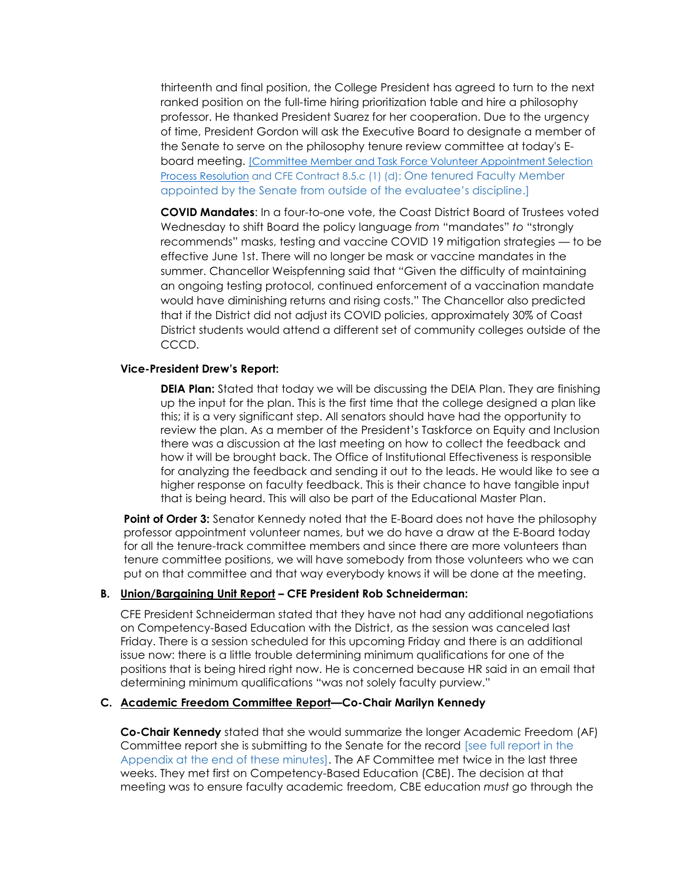thirteenth and final position, the College President has agreed to turn to the next ranked position on the full-time hiring prioritization table and hire a philosophy professor. He thanked President Suarez for her cooperation. Due to the urgency of time, President Gordon will ask the Executive Board to designate a member of the Senate to serve on the philosophy tenure review committee at today's Eboard meeting. [\[Committee Member and Task Force Volunteer Appointment Selection](http://www.orangecoastcollege.edu/about_occ/AcademicSenate/Agendas%20and%20Minutes/Committee%20or%20Task%20Force%20Selection%20Resolution%20Final%20Approved%20Resolution%20from%20February%2013%202018.pdf)  Process Resolution and CFE Contract 8.5.c (1) (d): [One tenured Faculty Member](http://www.orangecoastcollege.edu/about_occ/AcademicSenate/Agendas%20and%20Minutes/Committee%20or%20Task%20Force%20Selection%20Resolution%20Final%20Approved%20Resolution%20from%20February%2013%202018.pdf)  [appointed by the Senate from outside of the evaluatee's discipline](http://www.orangecoastcollege.edu/about_occ/AcademicSenate/Agendas%20and%20Minutes/Committee%20or%20Task%20Force%20Selection%20Resolution%20Final%20Approved%20Resolution%20from%20February%2013%202018.pdf).]

**COVID Mandates**: In a four-to-one vote, the Coast District Board of Trustees voted Wednesday to shift Board the policy language *from* "mandates" *to* "strongly recommends" masks, testing and vaccine COVID 19 mitigation strategies — to be effective June 1st. There will no longer be mask or vaccine mandates in the summer. Chancellor Weispfenning said that "Given the difficulty of maintaining an ongoing testing protocol, continued enforcement of a vaccination mandate would have diminishing returns and rising costs." The Chancellor also predicted that if the District did not adjust its COVID policies, approximately 30% of Coast District students would attend a different set of community colleges outside of the CCCD.

#### **Vice-President Drew's Report:**

**DEIA Plan:** Stated that today we will be discussing the DEIA Plan. They are finishing up the input for the plan. This is the first time that the college designed a plan like this; it is a very significant step. All senators should have had the opportunity to review the plan. As a member of the President's Taskforce on Equity and Inclusion there was a discussion at the last meeting on how to collect the feedback and how it will be brought back. The Office of Institutional Effectiveness is responsible for analyzing the feedback and sending it out to the leads. He would like to see a higher response on faculty feedback. This is their chance to have tangible input that is being heard. This will also be part of the Educational Master Plan.

**Point of Order 3:** Senator Kennedy noted that the E-Board does not have the philosophy professor appointment volunteer names, but we do have a draw at the E-Board today for all the tenure-track committee members and since there are more volunteers than tenure committee positions, we will have somebody from those volunteers who we can put on that committee and that way everybody knows it will be done at the meeting.

#### **B. Union/Bargaining Unit Report – CFE President Rob Schneiderman:**

CFE President Schneiderman stated that they have not had any additional negotiations on Competency-Based Education with the District, as the session was canceled last Friday. There is a session scheduled for this upcoming Friday and there is an additional issue now: there is a little trouble determining minimum qualifications for one of the positions that is being hired right now. He is concerned because HR said in an email that determining minimum qualifications "was not solely faculty purview."

#### **C. Academic Freedom Committee Report—Co-Chair Marilyn Kennedy**

**Co-Chair Kennedy** stated that she would summarize the longer Academic Freedom (AF) Committee report she is submitting to the Senate for the record [see full report in the Appendix at the end of these minutes]. The AF Committee met twice in the last three weeks. They met first on Competency-Based Education (CBE). The decision at that meeting was to ensure faculty academic freedom, CBE education *must* go through the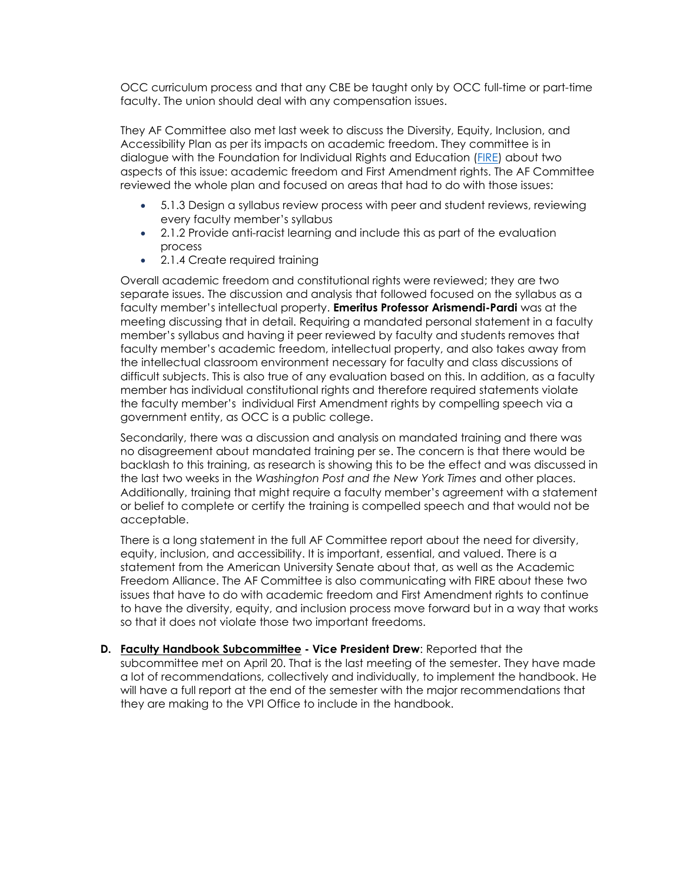OCC curriculum process and that any CBE be taught only by OCC full-time or part-time faculty. The union should deal with any compensation issues.

They AF Committee also met last week to discuss the Diversity, Equity, Inclusion, and Accessibility Plan as per its impacts on academic freedom. They committee is in dialogue with the Foundation for Individual Rights and Education [\(FIRE\)](http://www.thefire.org/) about two aspects of this issue: academic freedom and First Amendment rights. The AF Committee reviewed the whole plan and focused on areas that had to do with those issues:

- 5.1.3 Design a syllabus review process with peer and student reviews, reviewing every faculty member's syllabus
- 2.1.2 Provide anti-racist learning and include this as part of the evaluation process
- 2.1.4 Create required training

Overall academic freedom and constitutional rights were reviewed; they are two separate issues. The discussion and analysis that followed focused on the syllabus as a faculty member's intellectual property. **Emeritus Professor Arismendi-Pardi** was at the meeting discussing that in detail. Requiring a mandated personal statement in a faculty member's syllabus and having it peer reviewed by faculty and students removes that faculty member's academic freedom, intellectual property, and also takes away from the intellectual classroom environment necessary for faculty and class discussions of difficult subjects. This is also true of any evaluation based on this. In addition, as a faculty member has individual constitutional rights and therefore required statements violate the faculty member's individual First Amendment rights by compelling speech via a government entity, as OCC is a public college.

Secondarily, there was a discussion and analysis on mandated training and there was no disagreement about mandated training per se. The concern is that there would be backlash to this training, as research is showing this to be the effect and was discussed in the last two weeks in the *Washington Post and the New York Times* and other places. Additionally, training that might require a faculty member's agreement with a statement or belief to complete or certify the training is compelled speech and that would not be acceptable.

There is a long statement in the full AF Committee report about the need for diversity, equity, inclusion, and accessibility. It is important, essential, and valued. There is a statement from the American University Senate about that, as well as the Academic Freedom Alliance. The AF Committee is also communicating with FIRE about these two issues that have to do with academic freedom and First Amendment rights to continue to have the diversity, equity, and inclusion process move forward but in a way that works so that it does not violate those two important freedoms.

**D. Faculty Handbook Subcommittee - Vice President Drew**: Reported that the subcommittee met on April 20. That is the last meeting of the semester. They have made a lot of recommendations, collectively and individually, to implement the handbook. He will have a full report at the end of the semester with the major recommendations that they are making to the VPI Office to include in the handbook.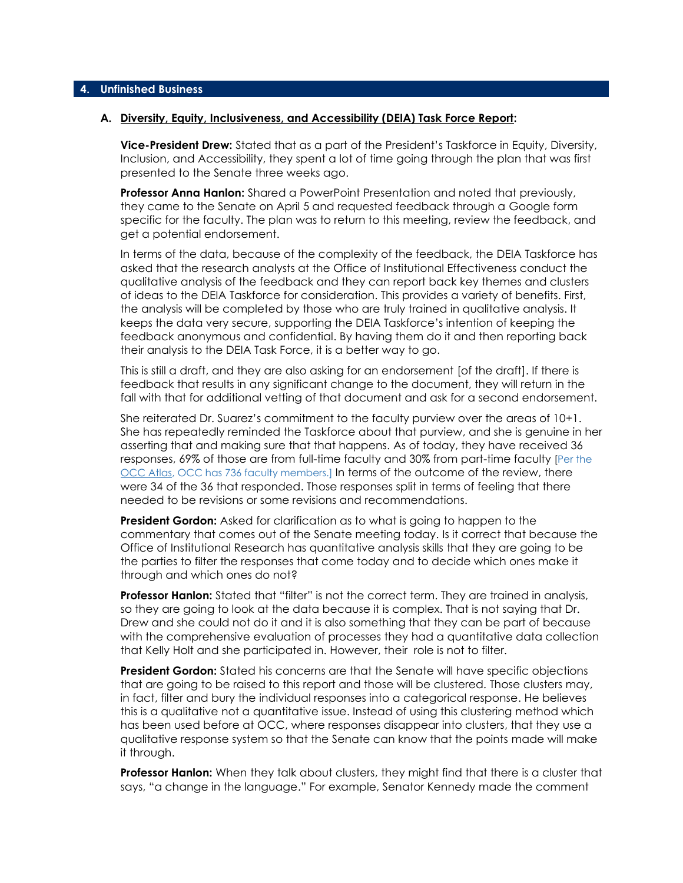#### **A. Diversity, Equity, Inclusiveness, and Accessibility (DEIA) Task Force Report:**

**Vice-President Drew:** Stated that as a part of the President's Taskforce in Equity, Diversity, Inclusion, and Accessibility, they spent a lot of time going through the plan that was first presented to the Senate three weeks ago.

**Professor Anna Hanlon:** Shared a PowerPoint Presentation and noted that previously, they came to the Senate on April 5 and requested feedback through a Google form specific for the faculty. The plan was to return to this meeting, review the feedback, and get a potential endorsement.

In terms of the data, because of the complexity of the feedback, the DEIA Taskforce has asked that the research analysts at the Office of Institutional Effectiveness conduct the qualitative analysis of the feedback and they can report back key themes and clusters of ideas to the DEIA Taskforce for consideration. This provides a variety of benefits. First, the analysis will be completed by those who are truly trained in qualitative analysis. It keeps the data very secure, supporting the DEIA Taskforce's intention of keeping the feedback anonymous and confidential. By having them do it and then reporting back their analysis to the DEIA Task Force, it is a better way to go.

This is still a draft, and they are also asking for an endorsement [of the draft]. If there is feedback that results in any significant change to the document, they will return in the fall with that for additional vetting of that document and ask for a second endorsement.

She reiterated Dr. Suarez's commitment to the faculty purview over the areas of 10+1. She has repeatedly reminded the Taskforce about that purview, and she is genuine in her asserting that and making sure that that happens. As of today, they have received 36 responses, 69% of those are from full-time faculty and 30% from part-time faculty [Per the [OCC Atlas,](https://prod.orangecoastcollege.edu/about/documents/occ-atlas-2020-2021.pdf) OCC has 736 faculty members.] In terms of the outcome of the review, there were 34 of the 36 that responded. Those responses split in terms of feeling that there needed to be revisions or some revisions and recommendations.

**President Gordon:** Asked for clarification as to what is going to happen to the commentary that comes out of the Senate meeting today. Is it correct that because the Office of Institutional Research has quantitative analysis skills that they are going to be the parties to filter the responses that come today and to decide which ones make it through and which ones do not?

**Professor Hanlon:** Stated that "filter" is not the correct term. They are trained in analysis, so they are going to look at the data because it is complex. That is not saying that Dr. Drew and she could not do it and it is also something that they can be part of because with the comprehensive evaluation of processes they had a quantitative data collection that Kelly Holt and she participated in. However, their role is not to filter.

**President Gordon:** Stated his concerns are that the Senate will have specific objections that are going to be raised to this report and those will be clustered. Those clusters may, in fact, filter and bury the individual responses into a categorical response. He believes this is a qualitative not a quantitative issue. Instead of using this clustering method which has been used before at OCC, where responses disappear into clusters, that they use a qualitative response system so that the Senate can know that the points made will make it through.

**Professor Hanlon:** When they talk about clusters, they might find that there is a cluster that says, "a change in the language." For example, Senator Kennedy made the comment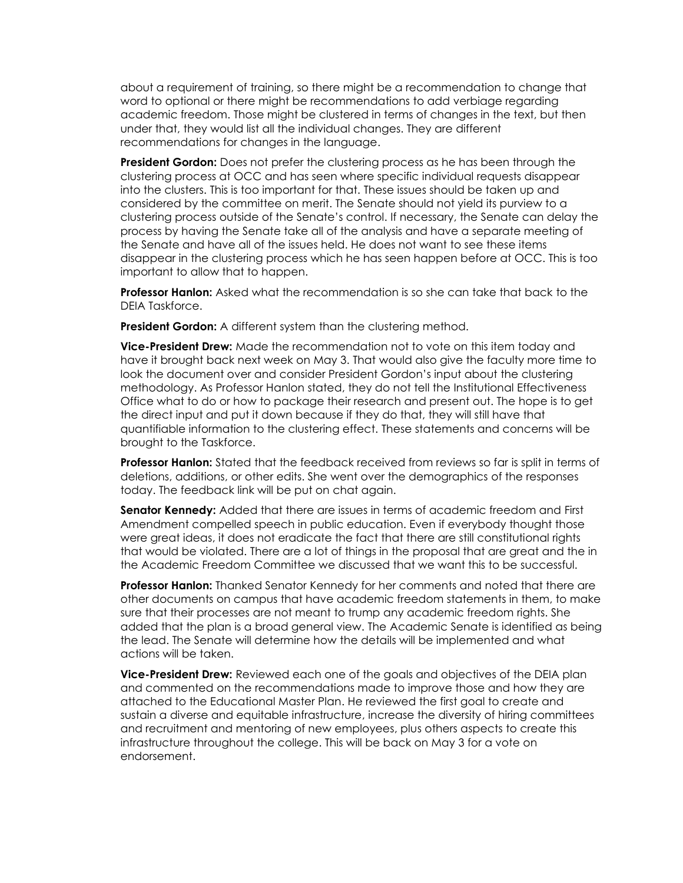about a requirement of training, so there might be a recommendation to change that word to optional or there might be recommendations to add verbiage regarding academic freedom. Those might be clustered in terms of changes in the text, but then under that, they would list all the individual changes. They are different recommendations for changes in the language.

**President Gordon:** Does not prefer the clustering process as he has been through the clustering process at OCC and has seen where specific individual requests disappear into the clusters. This is too important for that. These issues should be taken up and considered by the committee on merit. The Senate should not yield its purview to a clustering process outside of the Senate's control. If necessary, the Senate can delay the process by having the Senate take all of the analysis and have a separate meeting of the Senate and have all of the issues held. He does not want to see these items disappear in the clustering process which he has seen happen before at OCC. This is too important to allow that to happen.

**Professor Hanlon:** Asked what the recommendation is so she can take that back to the DEIA Taskforce.

**President Gordon:** A different system than the clustering method.

**Vice-President Drew:** Made the recommendation not to vote on this item today and have it brought back next week on May 3. That would also give the faculty more time to look the document over and consider President Gordon's input about the clustering methodology. As Professor Hanlon stated, they do not tell the Institutional Effectiveness Office what to do or how to package their research and present out. The hope is to get the direct input and put it down because if they do that, they will still have that quantifiable information to the clustering effect. These statements and concerns will be brought to the Taskforce.

**Professor Hanlon:** Stated that the feedback received from reviews so far is split in terms of deletions, additions, or other edits. She went over the demographics of the responses today. The feedback link will be put on chat again.

**Senator Kennedy:** Added that there are issues in terms of academic freedom and First Amendment compelled speech in public education. Even if everybody thought those were great ideas, it does not eradicate the fact that there are still constitutional rights that would be violated. There are a lot of things in the proposal that are great and the in the Academic Freedom Committee we discussed that we want this to be successful.

**Professor Hanlon:** Thanked Senator Kennedy for her comments and noted that there are other documents on campus that have academic freedom statements in them, to make sure that their processes are not meant to trump any academic freedom rights. She added that the plan is a broad general view. The Academic Senate is identified as being the lead. The Senate will determine how the details will be implemented and what actions will be taken.

**Vice-President Drew:** Reviewed each one of the goals and objectives of the DEIA plan and commented on the recommendations made to improve those and how they are attached to the Educational Master Plan. He reviewed the first goal to create and sustain a diverse and equitable infrastructure, increase the diversity of hiring committees and recruitment and mentoring of new employees, plus others aspects to create this infrastructure throughout the college. This will be back on May 3 for a vote on endorsement.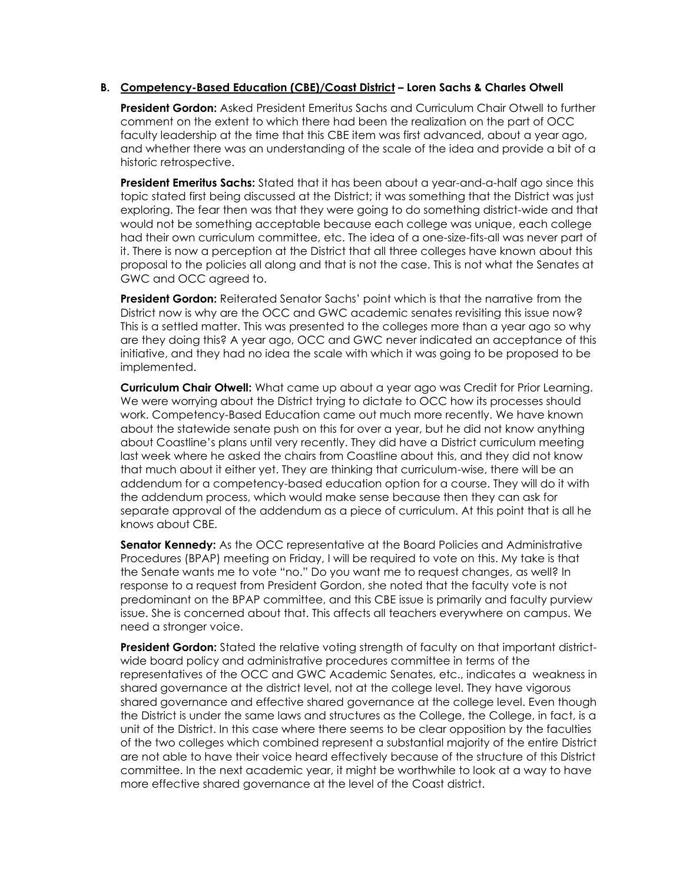#### **B. Competency-Based Education (CBE)/Coast District – Loren Sachs & Charles Otwell**

**President Gordon:** Asked President Emeritus Sachs and Curriculum Chair Otwell to further comment on the extent to which there had been the realization on the part of OCC faculty leadership at the time that this CBE item was first advanced, about a year ago, and whether there was an understanding of the scale of the idea and provide a bit of a historic retrospective.

**President Emeritus Sachs:** Stated that it has been about a year-and-a-half ago since this topic stated first being discussed at the District; it was something that the District was just exploring. The fear then was that they were going to do something district-wide and that would not be something acceptable because each college was unique, each college had their own curriculum committee, etc. The idea of a one-size-fits-all was never part of it. There is now a perception at the District that all three colleges have known about this proposal to the policies all along and that is not the case. This is not what the Senates at GWC and OCC agreed to.

**President Gordon:** Reiterated Senator Sachs' point which is that the narrative from the District now is why are the OCC and GWC academic senates revisiting this issue now? This is a settled matter. This was presented to the colleges more than a year ago so why are they doing this? A year ago, OCC and GWC never indicated an acceptance of this initiative, and they had no idea the scale with which it was going to be proposed to be implemented.

**Curriculum Chair Otwell:** What came up about a year ago was Credit for Prior Learning. We were worrying about the District trying to dictate to OCC how its processes should work. Competency-Based Education came out much more recently. We have known about the statewide senate push on this for over a year, but he did not know anything about Coastline's plans until very recently. They did have a District curriculum meeting last week where he asked the chairs from Coastline about this, and they did not know that much about it either yet. They are thinking that curriculum-wise, there will be an addendum for a competency-based education option for a course. They will do it with the addendum process, which would make sense because then they can ask for separate approval of the addendum as a piece of curriculum. At this point that is all he knows about CBE.

**Senator Kennedy:** As the OCC representative at the Board Policies and Administrative Procedures (BPAP) meeting on Friday, I will be required to vote on this. My take is that the Senate wants me to vote "no." Do you want me to request changes, as well? In response to a request from President Gordon, she noted that the faculty vote is not predominant on the BPAP committee, and this CBE issue is primarily and faculty purview issue. She is concerned about that. This affects all teachers everywhere on campus. We need a stronger voice.

**President Gordon:** Stated the relative voting strength of faculty on that important districtwide board policy and administrative procedures committee in terms of the representatives of the OCC and GWC Academic Senates, etc., indicates a weakness in shared governance at the district level, not at the college level. They have vigorous shared governance and effective shared governance at the college level. Even though the District is under the same laws and structures as the College, the College, in fact, is a unit of the District. In this case where there seems to be clear opposition by the faculties of the two colleges which combined represent a substantial majority of the entire District are not able to have their voice heard effectively because of the structure of this District committee. In the next academic year, it might be worthwhile to look at a way to have more effective shared governance at the level of the Coast district.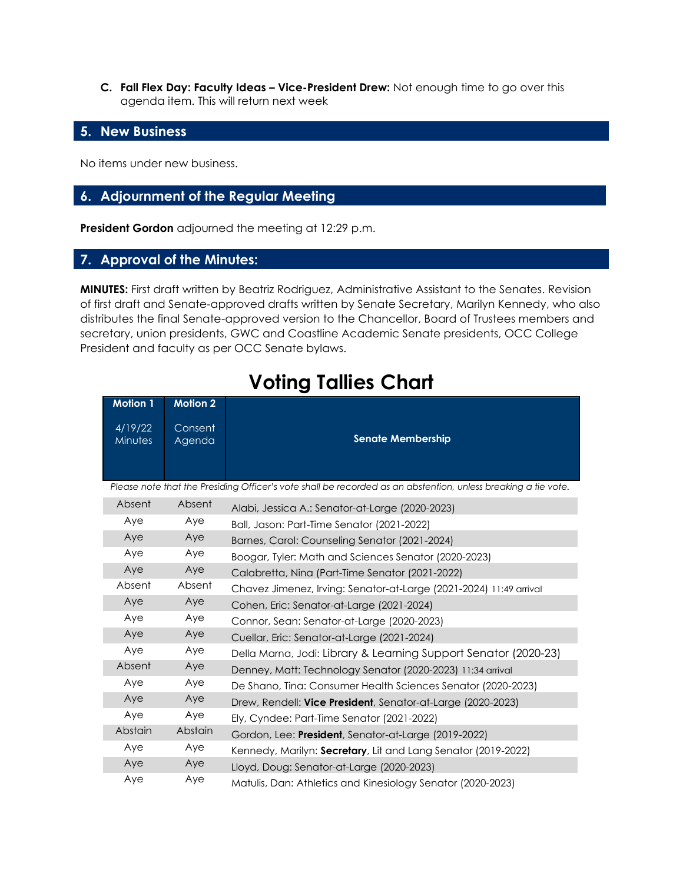**C. Fall Flex Day: Faculty Ideas – Vice-President Drew:** Not enough time to go over this agenda item. This will return next week

#### **5. New Business**

No items under new business.

# **6. Adjournment of the Regular Meeting**

**President Gordon** adjourned the meeting at 12:29 p.m.

#### **7. Approval of the Minutes:**

**MINUTES:** First draft written by Beatriz Rodriguez, Administrative Assistant to the Senates. Revision of first draft and Senate-approved drafts written by Senate Secretary, Marilyn Kennedy, who also distributes the final Senate-approved version to the Chancellor, Board of Trustees members and secretary, union presidents, GWC and Coastline Academic Senate presidents, OCC College President and faculty as per OCC Senate bylaws.

| <b>Motion 1</b>                                                                                               | <b>Motion 2</b>   |                                                                    |  |
|---------------------------------------------------------------------------------------------------------------|-------------------|--------------------------------------------------------------------|--|
| 4/19/22<br>Minutes                                                                                            | Consent<br>Agenda | <b>Senate Membership</b>                                           |  |
| Please note that the Presiding Officer's vote shall be recorded as an abstention, unless breaking a tie vote. |                   |                                                                    |  |
| Absent                                                                                                        | Absent            | Alabi, Jessica A.: Senator-at-Large (2020-2023)                    |  |
| Aye                                                                                                           | Aye               | Ball, Jason: Part-Time Senator (2021-2022)                         |  |
| Aye                                                                                                           | Aye               | Barnes, Carol: Counseling Senator (2021-2024)                      |  |
| Aye                                                                                                           | Aye               | Boogar, Tyler: Math and Sciences Senator (2020-2023)               |  |
| Aye                                                                                                           | Aye               | Calabretta, Nina (Part-Time Senator (2021-2022)                    |  |
| Absent                                                                                                        | Absent            | Chavez Jimenez, Irving: Senator-at-Large (2021-2024) 11:49 arrival |  |
| Aye                                                                                                           | Aye               | Cohen, Eric: Senator-at-Large (2021-2024)                          |  |
| Aye                                                                                                           | Aye               | Connor, Sean: Senator-at-Large (2020-2023)                         |  |
| Aye                                                                                                           | Aye               | Cuellar, Eric: Senator-at-Large (2021-2024)                        |  |
| Aye                                                                                                           | Aye               | Della Marna, Jodi: Library & Learning Support Senator (2020-23)    |  |
| Absent                                                                                                        | Aye               | Denney, Matt: Technology Senator (2020-2023) 11:34 arrival         |  |
| Aye                                                                                                           | Aye               | De Shano, Tina: Consumer Health Sciences Senator (2020-2023)       |  |
| Aye                                                                                                           | Aye               | Drew, Rendell: Vice President, Senator-at-Large (2020-2023)        |  |
| Aye                                                                                                           | Aye               | Ely, Cyndee: Part-Time Senator (2021-2022)                         |  |
| <b>Abstain</b>                                                                                                | Abstain           | Gordon, Lee: President, Senator-at-Large (2019-2022)               |  |
| Aye                                                                                                           | Aye               | Kennedy, Marilyn: Secretary, Lit and Lang Senator (2019-2022)      |  |
| Aye                                                                                                           | Aye               | Lloyd, Doug: Senator-at-Large (2020-2023)                          |  |
| Aye                                                                                                           | Aye               | Matulis, Dan: Athletics and Kinesiology Senator (2020-2023)        |  |

# **Voting Tallies Chart**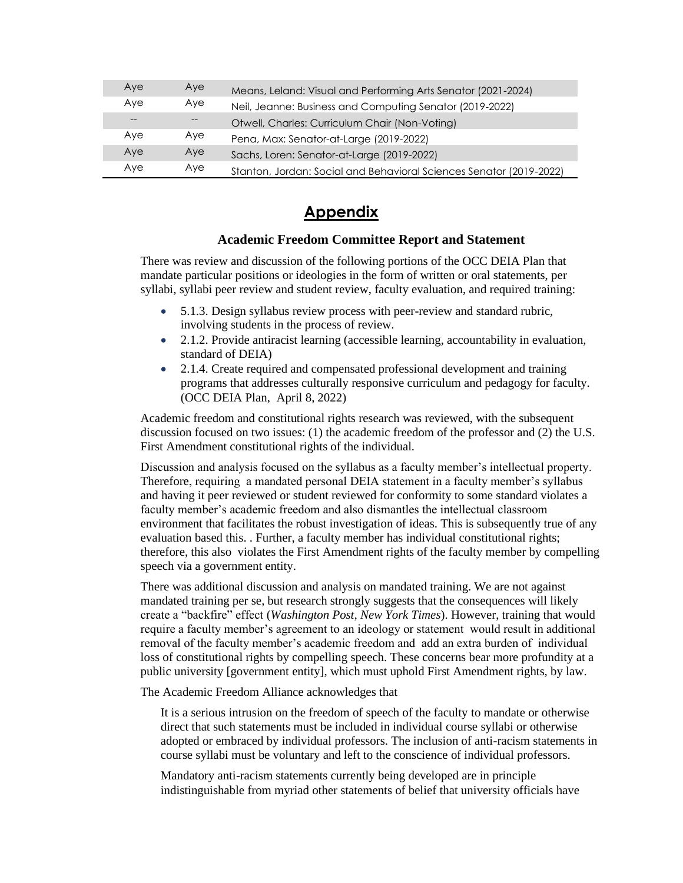| Aye | Aye | Means, Leland: Visual and Performing Arts Senator (2021-2024)       |
|-----|-----|---------------------------------------------------------------------|
| Aye | Aye | Neil, Jeanne: Business and Computing Senator (2019-2022)            |
|     |     | Otwell, Charles: Curriculum Chair (Non-Voting)                      |
| Aye | Aye | Pena, Max: Senator-at-Large (2019-2022)                             |
| Aye | Aye | Sachs, Loren: Senator-at-Large (2019-2022)                          |
| Aye | Aye | Stanton, Jordan: Social and Behavioral Sciences Senator (2019-2022) |

# **Appendix**

#### **Academic Freedom Committee Report and Statement**

There was review and discussion of the following portions of the OCC DEIA Plan that mandate particular positions or ideologies in the form of written or oral statements, per syllabi, syllabi peer review and student review, faculty evaluation, and required training:

- 5.1.3. Design syllabus review process with peer-review and standard rubric, involving students in the process of review.
- 2.1.2. Provide antiracist learning (accessible learning, accountability in evaluation, standard of DEIA)
- 2.1.4. Create required and compensated professional development and training programs that addresses culturally responsive curriculum and pedagogy for faculty. (OCC DEIA Plan, April 8, 2022)

Academic freedom and constitutional rights research was reviewed, with the subsequent discussion focused on two issues: (1) the academic freedom of the professor and (2) the U.S. First Amendment constitutional rights of the individual.

Discussion and analysis focused on the syllabus as a faculty member's intellectual property. Therefore, requiring a mandated personal DEIA statement in a faculty member's syllabus and having it peer reviewed or student reviewed for conformity to some standard violates a faculty member's academic freedom and also dismantles the intellectual classroom environment that facilitates the robust investigation of ideas. This is subsequently true of any evaluation based this. . Further, a faculty member has individual constitutional rights; therefore, this also violates the First Amendment rights of the faculty member by compelling speech via a government entity.

There was additional discussion and analysis on mandated training. We are not against mandated training per se, but research strongly suggests that the consequences will likely create a "backfire" effect (*Washington Post*, *New York Times*). However, training that would require a faculty member's agreement to an ideology or statement would result in additional removal of the faculty member's academic freedom and add an extra burden of individual loss of constitutional rights by compelling speech. These concerns bear more profundity at a public university [government entity], which must uphold First Amendment rights, by law.

The Academic Freedom Alliance acknowledges that

It is a serious intrusion on the freedom of speech of the faculty to mandate or otherwise direct that such statements must be included in individual course syllabi or otherwise adopted or embraced by individual professors. The inclusion of anti-racism statements in course syllabi must be voluntary and left to the conscience of individual professors.

Mandatory anti-racism statements currently being developed are in principle indistinguishable from myriad other statements of belief that university officials have